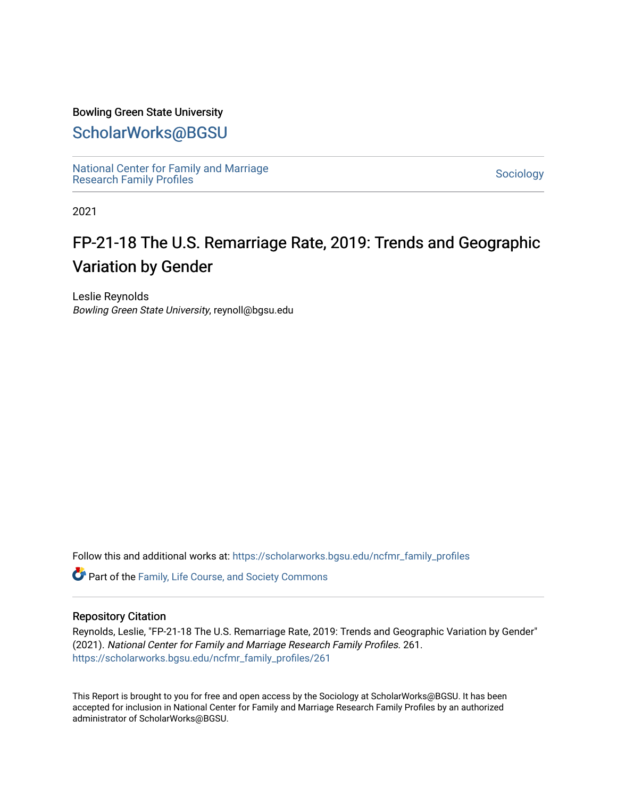## Bowling Green State University

## [ScholarWorks@BGSU](https://scholarworks.bgsu.edu/)

[National Center for Family and Marriage](https://scholarworks.bgsu.edu/ncfmr_family_profiles)  [Research Family Profiles](https://scholarworks.bgsu.edu/ncfmr_family_profiles) Sociology<br>Research Family Profiles

2021

# FP-21-18 The U.S. Remarriage Rate, 2019: Trends and Geographic Variation by Gender

Leslie Reynolds Bowling Green State University, reynoll@bgsu.edu

Follow this and additional works at: [https://scholarworks.bgsu.edu/ncfmr\\_family\\_profiles](https://scholarworks.bgsu.edu/ncfmr_family_profiles?utm_source=scholarworks.bgsu.edu%2Fncfmr_family_profiles%2F261&utm_medium=PDF&utm_campaign=PDFCoverPages)

Part of the [Family, Life Course, and Society Commons](http://network.bepress.com/hgg/discipline/419?utm_source=scholarworks.bgsu.edu%2Fncfmr_family_profiles%2F261&utm_medium=PDF&utm_campaign=PDFCoverPages) 

## Repository Citation

Reynolds, Leslie, "FP-21-18 The U.S. Remarriage Rate, 2019: Trends and Geographic Variation by Gender" (2021). National Center for Family and Marriage Research Family Profiles. 261. [https://scholarworks.bgsu.edu/ncfmr\\_family\\_profiles/261](https://scholarworks.bgsu.edu/ncfmr_family_profiles/261?utm_source=scholarworks.bgsu.edu%2Fncfmr_family_profiles%2F261&utm_medium=PDF&utm_campaign=PDFCoverPages) 

This Report is brought to you for free and open access by the Sociology at ScholarWorks@BGSU. It has been accepted for inclusion in National Center for Family and Marriage Research Family Profiles by an authorized administrator of ScholarWorks@BGSU.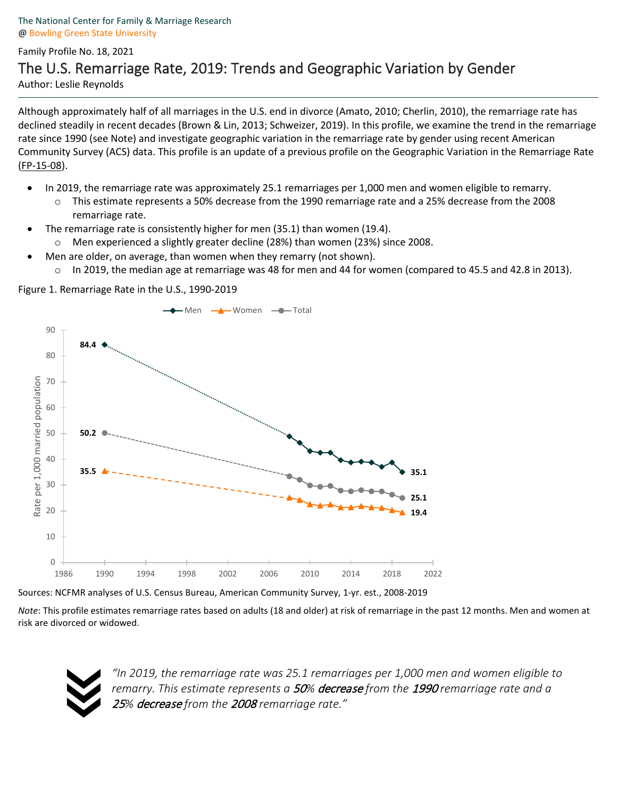## Family Profile No. 18, 2021 The U.S. Remarriage Rate, 2019: Trends and Geographic Variation by Gender Author: Leslie Reynolds

Although approximately half of all marriages in the U.S. end in divorce (Amato, 2010; Cherlin, 2010), the remarriage rate has declined steadily in recent decades (Brown & Lin, 2013; Schweizer, 2019). In this profile, we examine the trend in the remarriage rate since 1990 (see Note) and investigate geographic variation in the remarriage rate by gender using recent American Community Survey (ACS) data. This profile is an update of a previous profile on the Geographic Variation in the Remarriage Rate [\(FP-15-08\)](https://www.bgsu.edu/content/dam/BGSU/college-of-arts-and-sciences/NCFMR/documents/FP/payne-remarriage-rate-fp-15-08.pdf).

- In 2019, the remarriage rate was approximately 25.1 remarriages per 1,000 men and women eligible to remarry.
	- This estimate represents a 50% decrease from the 1990 remarriage rate and a 25% decrease from the 2008 remarriage rate.
- The remarriage rate is consistently higher for men (35.1) than women (19.4).
	- Men experienced a slightly greater decline (28%) than women (23%) since 2008.
- Men are older, on average, than women when they remarry (not shown).
	- o In 2019, the median age at remarriage was 48 for men and 44 for women (compared to 45.5 and 42.8 in 2013).

Figure 1. Remarriage Rate in the U.S., 1990-2019



Sources: NCFMR analyses of U.S. Census Bureau, American Community Survey, 1-yr. est., 2008-2019

*Note*: This profile estimates remarriage rates based on adults (18 and older) at risk of remarriage in the past 12 months. Men and women at risk are divorced or widowed.



*"In 2019, the remarriage rate was 25.1 remarriages per 1,000 men and women eligible to remarry. This estimate represents a* 50*%* decrease *from the* <sup>1990</sup> *remarriage rate and a*  <sup>25</sup>*%* decrease *from the* <sup>2008</sup> *remarriage rate."*